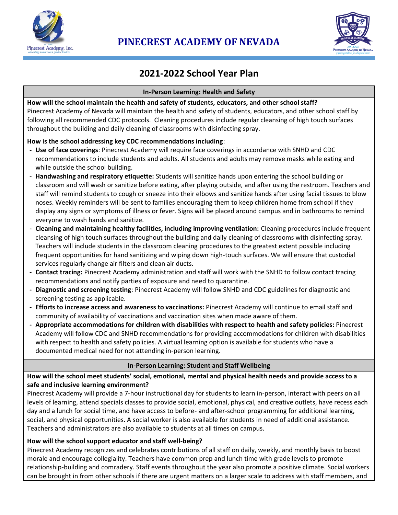



# **2021-2022 School Year Plan**

#### **In-Person Learning: Health and Safety**

**How will the school maintain the health and safety of students, educators, and other school staff?** Pinecrest Academy of Nevada will maintain the health and safety of students, educators, and other school staff by following all recommended CDC protocols. Cleaning procedures include regular cleansing of high touch surfaces throughout the building and daily cleaning of classrooms with disinfecting spray.

## **How is the school addressing key CDC recommendations including**:

- **- Use of face coverings**: Pinecrest Academy will require face coverings in accordance with SNHD and CDC recommendations to include students and adults. All students and adults may remove masks while eating and while outside the school building.
- **- Handwashing and respiratory etiquette:** Students will sanitize hands upon entering the school building or classroom and will wash or sanitize before eating, after playing outside, and after using the restroom. Teachers and staff will remind students to cough or sneeze into their elbows and sanitize hands after using facial tissues to blow noses. Weekly reminders will be sent to families encouraging them to keep children home from school if they display any signs or symptoms of illness or fever. Signs will be placed around campus and in bathrooms to remind everyone to wash hands and sanitize.
- **- Cleaning and maintaining healthy facilities, including improving ventilation:** Cleaning procedures include frequent cleansing of high touch surfaces throughout the building and daily cleaning of classrooms with disinfecting spray. Teachers will include students in the classroom cleaning procedures to the greatest extent possible including frequent opportunities for hand sanitizing and wiping down high-touch surfaces. We will ensure that custodial services regularly change air filters and clean air ducts.
- **- Contact tracing:** Pinecrest Academy administration and staff will work with the SNHD to follow contact tracing recommendations and notify parties of exposure and need to quarantine.
- **- Diagnostic and screening testing**: Pinecrest Academy will follow SNHD and CDC guidelines for diagnostic and screening testing as applicable.
- **- Efforts to increase access and awareness to vaccinations:** Pinecrest Academy will continue to email staff and community of availability of vaccinations and vaccination sites when made aware of them.
- **- Appropriate accommodations for children with disabilities with respect to health and safety policies:** Pinecrest Academy will follow CDC and SNHD recommendations for providing accommodations for children with disabilities with respect to health and safety policies. A virtual learning option is available for students who have a documented medical need for not attending in-person learning.

## **In-Person Learning: Student and Staff Wellbeing**

## **How will the school meet students' social, emotional, mental and physical health needs and provide access to a safe and inclusive learning environment?**

Pinecrest Academy will provide a 7-hour instructional day for students to learn in-person, interact with peers on all levels of learning, attend specials classes to provide social, emotional, physical, and creative outlets, have recess each day and a lunch for social time, and have access to before- and after-school programming for additional learning, social, and physical opportunities. A social worker is also available for students in need of additional assistance. Teachers and administrators are also available to students at all times on campus.

## **How will the school support educator and staff well-being?**

Pinecrest Academy recognizes and celebrates contributions of all staff on daily, weekly, and monthly basis to boost morale and encourage collegiality. Teachers have common prep and lunch time with grade levels to promote relationship-building and comradery. Staff events throughout the year also promote a positive climate. Social workers can be brought in from other schools if there are urgent matters on a larger scale to address with staff members, and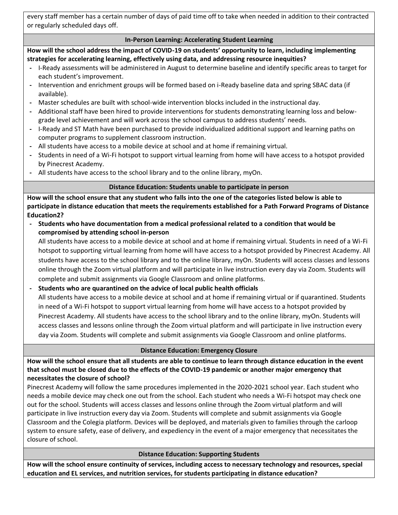every staff member has a certain number of days of paid time off to take when needed in addition to their contracted or regularly scheduled days off.

## **In-Person Learning: Accelerating Student Learning**

**How will the school address the impact of COVID-19 on students' opportunity to learn, including implementing strategies for accelerating learning, effectively using data, and addressing resource inequities?**

- **-** I-Ready assessments will be administered in August to determine baseline and identify specific areas to target for each student's improvement.
- **-** Intervention and enrichment groups will be formed based on i-Ready baseline data and spring SBAC data (if available).
- **-** Master schedules are built with school-wide intervention blocks included in the instructional day.
- **-** Additional staff have been hired to provide interventions for students demonstrating learning loss and belowgrade level achievement and will work across the school campus to address students' needs.
- **-** I-Ready and ST Math have been purchased to provide individualized additional support and learning paths on computer programs to supplement classroom instruction.
- **-** All students have access to a mobile device at school and at home if remaining virtual.
- **-** Students in need of a Wi-Fi hotspot to support virtual learning from home will have access to a hotspot provided by Pinecrest Academy.
- **-** All students have access to the school library and to the online library, myOn.

## **Distance Education: Students unable to participate in person**

**How will the school ensure that any student who falls into the one of the categories listed below is able to participate in distance education that meets the requirements established for a Path Forward Programs of Distance Education2?**

**- Students who have documentation from a medical professional related to a condition that would be compromised by attending school in-person** 

All students have access to a mobile device at school and at home if remaining virtual. Students in need of a Wi-Fi hotspot to supporting virtual learning from home will have access to a hotspot provided by Pinecrest Academy. All students have access to the school library and to the online library, myOn. Students will access classes and lessons online through the Zoom virtual platform and will participate in live instruction every day via Zoom. Students will complete and submit assignments via Google Classroom and online platforms.

**- Students who are quarantined on the advice of local public health officials**

All students have access to a mobile device at school and at home if remaining virtual or if quarantined. Students in need of a Wi-Fi hotspot to support virtual learning from home will have access to a hotspot provided by Pinecrest Academy. All students have access to the school library and to the online library, myOn. Students will access classes and lessons online through the Zoom virtual platform and will participate in live instruction every day via Zoom. Students will complete and submit assignments via Google Classroom and online platforms.

## **Distance Education: Emergency Closure**

**How will the school ensure that all students are able to continue to learn through distance education in the event that school must be closed due to the effects of the COVID-19 pandemic or another major emergency that necessitates the closure of school?**

Pinecrest Academy will follow the same procedures implemented in the 2020-2021 school year. Each student who needs a mobile device may check one out from the school. Each student who needs a Wi-Fi hotspot may check one out for the school. Students will access classes and lessons online through the Zoom virtual platform and will participate in live instruction every day via Zoom. Students will complete and submit assignments via Google Classroom and the Colegia platform. Devices will be deployed, and materials given to families through the carloop system to ensure safety, ease of delivery, and expediency in the event of a major emergency that necessitates the closure of school.

## **Distance Education: Supporting Students**

**How will the school ensure continuity of services, including access to necessary technology and resources, special education and EL services, and nutrition services, for students participating in distance education?**